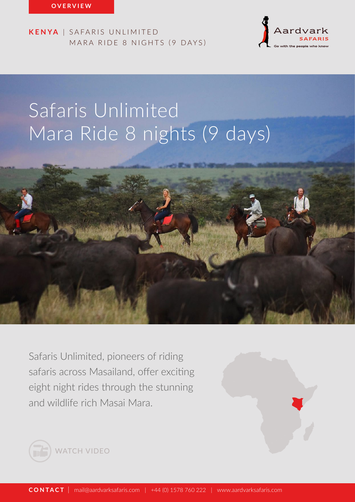

# Safaris Unlimited Mara Ride 8 nights (9 days)



Safaris Unlimited, pioneers of riding safaris across Masailand, offer exciting eight night rides through the stunning and wildlife rich Masai Mara.



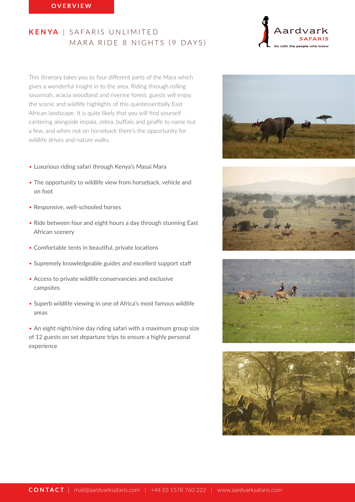This itinerary takes you to four different parts of the Mara which gives a wonderful insight in to the area. Riding through rolling savannah, acacia woodland and riverine forest, guests will enjoy the scenic and wildlife highlights of this quintessentially East African landscape. It is quite likely that you will find yourself cantering alongside impala, zebra, buffalo and giraffe to name but a few, and when not on horseback there's the opportunity for wildlife drives and nature walks.

- Luxurious riding safari through Kenya's Masai Mara
- The opportunity to wildlife view from horseback, vehicle and on foot
- Responsive, well-schooled horses
- Ride between four and eight hours a day through stunning East African scenery
- Comfortable tents in beautiful, private locations
- Supremely knowledgeable guides and excellent support staff
- Access to private wildlife conservancies and exclusive campsites
- Superb wildlife viewing in one of Africa's most famous wildlife areas

• An eight night/nine day riding safari with a maximum group size of 12 guests on set departure trips to ensure a highly personal experience



Aard





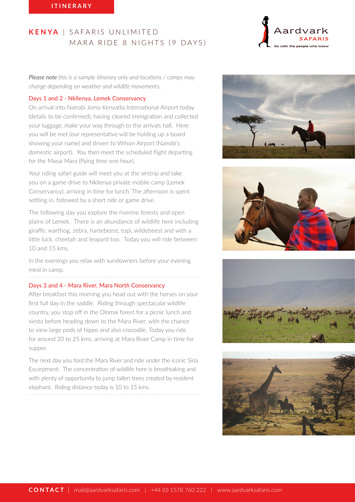*Please note this is a sample itinerary only and locations / camps may change depending on weather and wildlife movements.*

#### Days 1 and 2 - Nkilenya, Lemek Conservancy

On arrival into Nairobi Jomo Kenyatta International Airport today (details to be confirmed), having cleared immigration and collected your luggage, make your way through to the arrivals hall. Here you will be met (our representative will be holding up a board showing your name) and driven to Wilson Airport (Nairobi's domestic airport). You then meet the scheduled flight departing for the Masai Mara (flying time one hour).

Your riding safari guide will meet you at the airstrip and take you on a game drive to Nkilenya private mobile camp (Lemek Conservancy), arriving in time for lunch. The afternoon is spent settling in, followed by a short ride or game drive.

The following day you explore the riverine forests and open plains of Lemek. There is an abundance of wildlife here including giraffe, warthog, zebra, hartebeest, topi, wildebeest and with a little luck, cheetah and leopard too. Today you will ride between 10 and 15 kms.

In the evenings you relax with sundowners before your evening meal in camp.

#### Days 3 and 4 - Mara River, Mara North Conservancy

After breakfast this morning you head out with the horses on your first full day in the saddle. Riding through spectacular wildlife country, you stop off in the Olomai forest for a picnic lunch and siesta before heading down to the Mara River, with the chance to view large pods of hippo and also crocodile. Today you ride for around 20 to 25 kms, arriving at Mara River Camp in time for supper.

The next day you ford the Mara River and ride under the iconic Siria Escarpment. The concentration of wildlife here is breathtaking and with plenty of opportunity to jump fallen trees created by resident elephant. Riding distance today is 10 to 15 kms.







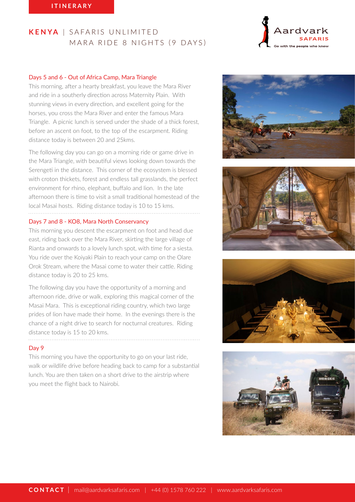## Days 5 and 6 - Out of Africa Camp, Mara Triangle

This morning, after a hearty breakfast, you leave the Mara River and ride in a southerly direction across Maternity Plain. With stunning views in every direction, and excellent going for the horses, you cross the Mara River and enter the famous Mara Triangle. A picnic lunch is served under the shade of a thick forest, before an ascent on foot, to the top of the escarpment. Riding distance today is between 20 and 25kms.

The following day you can go on a morning ride or game drive in the Mara Triangle, with beautiful views looking down towards the Serengeti in the distance. This corner of the ecosystem is blessed with croton thickets, forest and endless tall grasslands, the perfect environment for rhino, elephant, buffalo and lion. In the late afternoon there is time to visit a small traditional homestead of the local Masai hosts. Riding distance today is 10 to 15 kms. 

#### Days 7 and 8 - KO8, Mara North Conservancy

This morning you descent the escarpment on foot and head due east, riding back over the Mara River, skirting the large village of Rianta and onwards to a lovely lunch spot, with time for a siesta. You ride over the Koiyaki Plain to reach your camp on the Olare Orok Stream, where the Masai come to water their cattle. Riding distance today is 20 to 25 kms.

The following day you have the opportunity of a morning and afternoon ride, drive or walk, exploring this magical corner of the Masai Mara. This is exceptional riding country, which two large prides of lion have made their home. In the evenings there is the chance of a night drive to search for nocturnal creatures. Riding distance today is 15 to 20 kms.

#### Day 9

This morning you have the opportunity to go on your last ride, walk or wildlife drive before heading back to camp for a substantial lunch. You are then taken on a short drive to the airstrip where you meet the flight back to Nairobi.



Aardvark





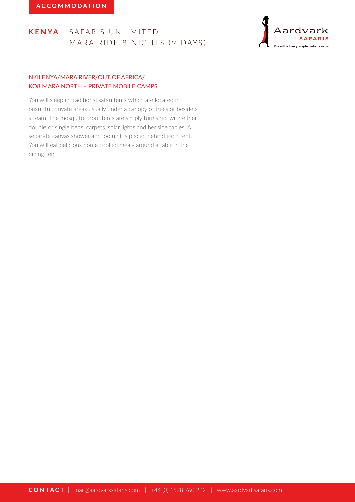

# NKILENYA/MARA RIVER/OUT OF AFRICA/ KO8 MARA NORTH – PRIVATE MOBILE CAMPS

You will sleep in traditional safari tents which are located in beautiful, private areas usually under a canopy of trees or beside a stream. The mosquito-proof tents are simply furnished with either double or single beds, carpets, solar lights and bedside tables. A separate canvas shower and loo unit is placed behind each tent. You will eat delicious home cooked meals around a table in the dining tent.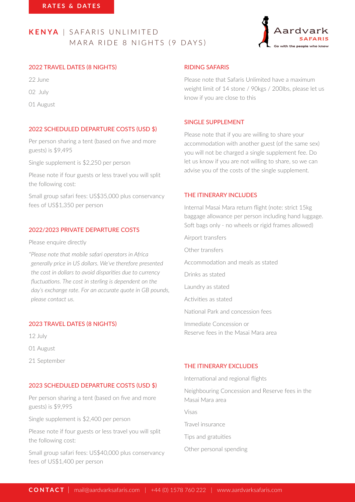

## 2022 TRAVEL DATES (8 NIGHTS)

22 June

02 July

01 August

## 2022 SCHEDULED DEPARTURE COSTS (USD \$)

Per person sharing a tent (based on five and more guests) is \$9,495

Single supplement is \$2,250 per person

Please note if four guests or less travel you will split the following cost:

Small group safari fees: US\$35,000 plus conservancy fees of US\$1,350 per person

## 2022/2023 PRIVATE DEPARTURE COSTS

Please enquire directly

*\*Please note that mobile safari operators in Africa generally price in US dollars. We've therefore presented the cost in dollars to avoid disparities due to currency fluctuations. The cost in sterling is dependent on the day's exchange rate. For an accurate quote in GB pounds, please contact us.*

## 2023 TRAVEL DATES (8 NIGHTS)

12 July

01 August

21 September

## 2023 SCHEDULED DEPARTURE COSTS (USD \$)

Per person sharing a tent (based on five and more guests) is \$9,995

Single supplement is \$2,400 per person

Please note if four guests or less travel you will split the following cost:

Small group safari fees: US\$40,000 plus conservancy fees of US\$1,400 per person

#### RIDING SAFARIS

Please note that Safaris Unlimited have a maximum weight limit of 14 stone / 90kgs / 200lbs, please let us know if you are close to this

#### SINGLE SUPPLEMENT

Please note that if you are willing to share your accommodation with another guest (of the same sex) you will not be charged a single supplement fee. Do let us know if you are not willing to share, so we can advise you of the costs of the single supplement.

## THE ITINERARY INCLUDES

Internal Masai Mara return flight (note: strict 15kg baggage allowance per person including hand luggage. Soft bags only - no wheels or rigid frames allowed)

Airport transfers Other transfers

Accommodation and meals as stated

Drinks as stated

Laundry as stated

Activities as stated

National Park and concession fees

Immediate Concession or Reserve fees in the Masai Mara area

## THE ITINERARY EXCLUDES

International and regional flights Neighbouring Concession and Reserve fees in the Masai Mara area Visas Travel insurance Tips and gratuities

Other personal spending